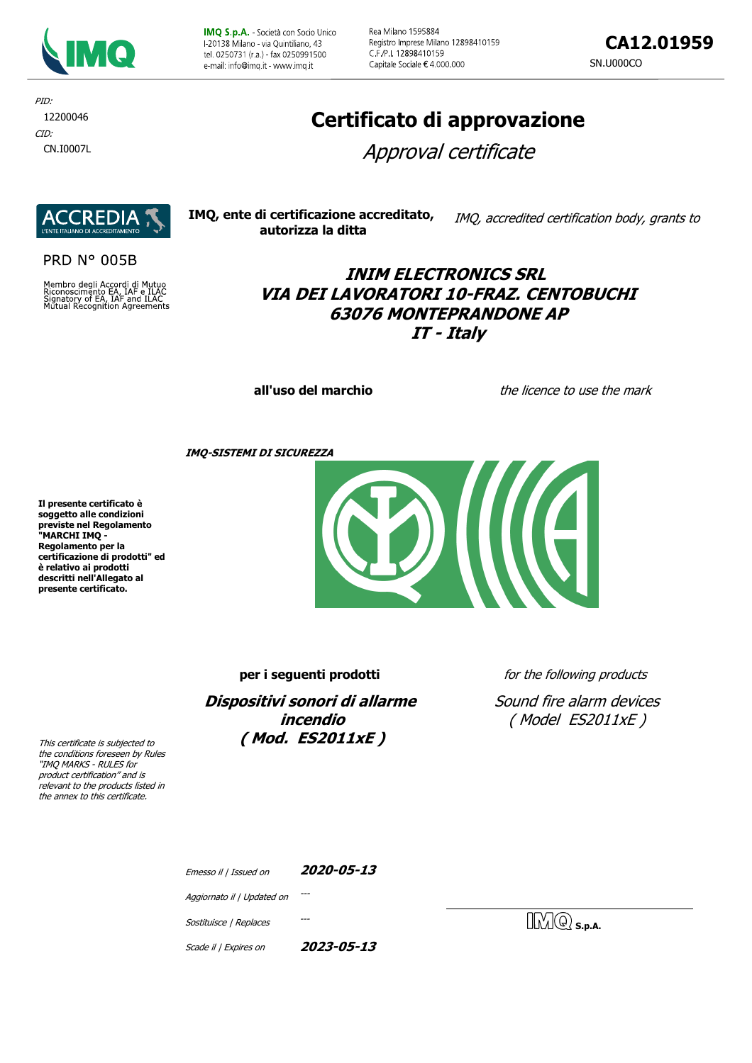

IMQ S.p.A. - Società con Socio Unico F20138 Milano - via Quintiliano, 43 tel. 0250731 (r.a.) - fax 0250991500 e-mail: info@imq it - www.imq it

Rea Milano 1595884 Registro Imprese Milano 12898410159 C.F./P.I. 12898410159 Capitale Sociale € 4.000.000

**CA12.01959** SN.U000CO

CID: CN.I0007L PID: 12200046

# **Certificato di approvazione**

Approval certificate



**PRD N° 005B** 

Membro degli Accordi di Mutuo<br>Riconoscimento EA, IAF e ILAC<br>Signatory of EA, IAF and ILAC<br>Mutual Recognition Agreements

| IMQ, ente di certificazione accreditato, | IMQ, accredited certification body, grants to |
|------------------------------------------|-----------------------------------------------|
| autorizza la ditta                       |                                               |

## **INIM ELECTRONICS SRL VIA DEI LAVORATORI 10-FRAZ. CENTOBUCHI 63076 MONTEPRANDONE AP IT - Italy**

**all'uso del marchio** the licence to use the mark

**IMQ-SISTEMI DI SICUREZZA**

**Il presente certificato è soggetto alle condizioni previste nel Regolamento "MARCHI IMQ - Regolamento per la certificazione di prodotti" ed è relativo ai prodotti descritti nell'Allegato al presente certificato.**



**per i seguenti prodotti** *for the following products* 

**Dispositivi sonori di allarme incendio ( Mod. ES2011xE )**

Sound fire alarm devices ( Model ES2011xE )

This certificate is subjected to the conditions foreseen by Rules "IMQ MARKS - RULES for product certification" and is relevant to the products listed in the annex to this certificate.

| Emesso il   Issued on      | 2020-05-13 |
|----------------------------|------------|
| Aggiornato il   Updated on |            |
| Sostituisce   Replaces     |            |
| Scade il   Expires on      | 2023-05-13 |

 $\mathbb{N}(\mathbb{Q})$  s.p.a.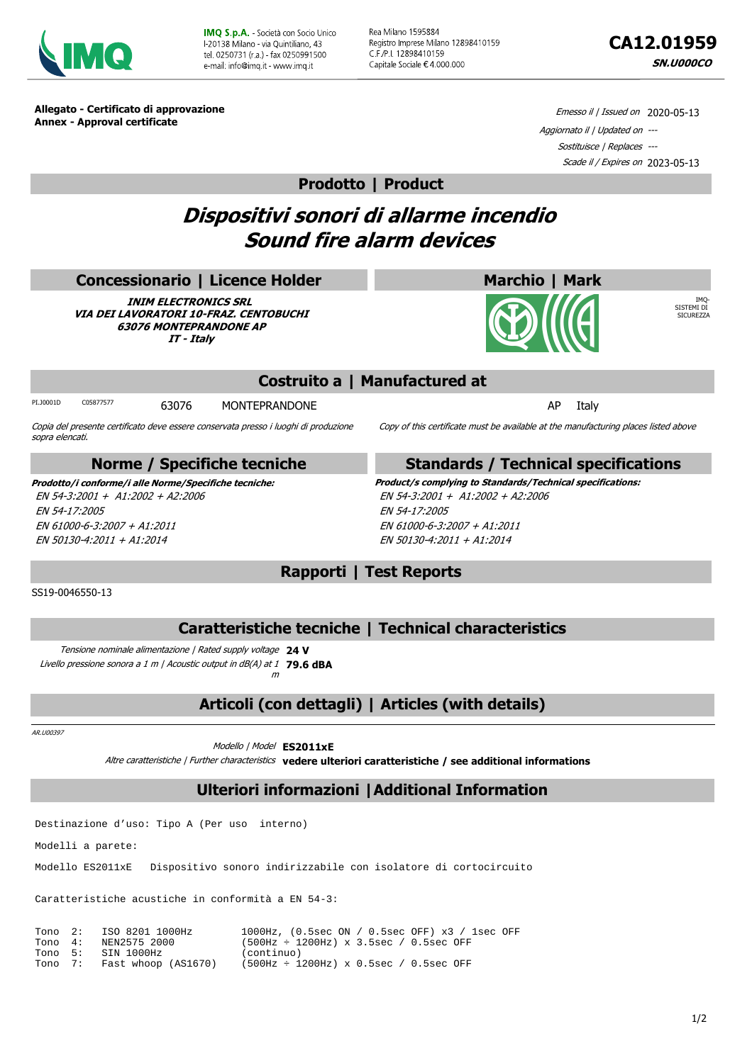

**IMO S.p.A.** - Società con Socio Unico L20138 Milano - via Quintiliano, 43 tel 0250731 (r a ) - fax 0250991500 e-mail: info@imq it - www.imq.it

Rea Milano 1595884 Registro Imprese Milano 12898410159 C.F./P.I. 12898410159 Capitale Sociale € 4.000.000



IMQ-SISTEMI DI SICUREZZA

**Allegato - Certificato di approvazione Annex - Approval certificate**

Emesso il / Issued on 2020-05-13 Aggiornato il | Updated on --- Sostituisce | Replaces --- Scade il / Expires on 2023-05-13

#### **Prodotto | Product**

# **Dispositivi sonori di allarme incendio Sound fire alarm devices**

#### **Concessionario | Licence Holder**

**INIM ELECTRONICS SRL VIA DEI LAVORATORI 10-FRAZ. CENTOBUCHI 63076 MONTEPRANDONE AP IT - Italy**

### **Costruito a | Manufactured at**

PI.J0001D COS877577 63076 MONTEPRANDONE **COS877577** 63076 MONTEPRANDONE

Copia del presente certificato deve essere conservata presso i luoghi di produzione sopra elencati. Copy of this certificate must be available at the manufacturing places listed above

#### **Norme / Specifiche tecniche**

EN 54-3:2001 + A1:2002 + A2:2006 EN 54-17:2005 EN 61000-6-3:2007 + A1:2011 EN 50130-4:2011 + A1:2014

#### **Standards / Technical specifications**

**Marchio | Mark**

**Prodotto/i conforme/i alle Norme/Specifiche tecniche: Product/s complying to Standards/Technical specifications:** EN 54-3:2001 + A1:2002 + A2:2006 EN 54-17:2005 EN 61000-6-3:2007 + A1:2011 EN 50130-4:2011 + A1:2014

SS19-0046550-13

## **Rapporti | Test Reports**

#### **Caratteristiche tecniche | Technical characteristics**

Tensione nominale alimentazione | Rated supply voltage **24 V** Livello pressione sonora a 1 m | Acoustic output in dB(A) at 1 **79.6 dBA** m

**Articoli (con dettagli) | Articles (with details)**

AR.U00397

Modello | Model **ES2011xE**

Altre caratteristiche | Further characteristics **vedere ulteriori caratteristiche / see additional informations**

## **Ulteriori informazioni |Additional Information**

Destinazione d'uso: Tipo A (Per uso interno)

Modelli a parete:

Modello ES2011xE Dispositivo sonoro indirizzabile con isolatore di cortocircuito

Caratteristiche acustiche in conformità a EN 54-3:

|  | Tono 2: ISO 8201 1000Hz     | $1000Hz$ , (0.5sec ON / 0.5sec OFF) x3 / 1sec OFF |
|--|-----------------------------|---------------------------------------------------|
|  | Tono 4: NEN2575 2000        | $(500Hz \div 1200Hz)$ x 3.5sec / 0.5sec OFF       |
|  | Tono 5: SIN 1000Hz          | (continuo)                                        |
|  | Tono 7: Fast whoop (AS1670) | $(500Hz \div 1200Hz) \times 0.5sec / 0.5sec$ OFF  |